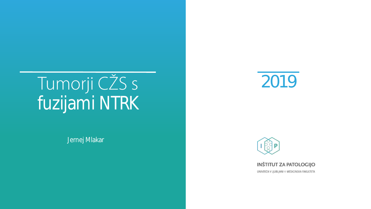# fuzijami NTRK

Jernej Mlakar





INŠTITUT ZA PATOLOGIJO

UNIVERZA V LJUBLJANI O MEDICINSKA FAKULTETA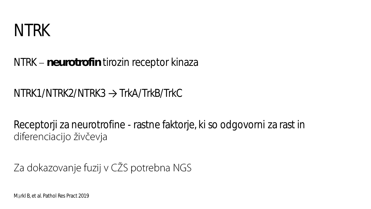

NTRK – neurotrofin tirozin receptor kinaza

NTRK1/NTRK2/NTRK3 → TrkA/TrkB/TrkC

Receptorji za neurotrofine - rastne faktorje, ki so odgovorni za rast in diferenciacijo živčevja

Za dokazovanje fuzij v CŽS potrebna NGS

Märkl B, et al. Pathol Res Pract 2019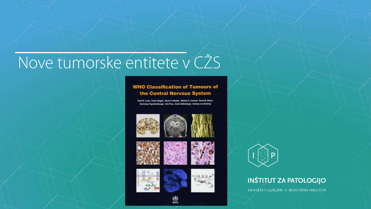# Nove tumorske entitete v CŽS

#### **WHO Classification of Tumours of** the Central Nervous System

David N. Louis, Hiroko Ohgaki, Otmar D. Wiestler, Webster K. Cavenee, David W. Ellison, Dominique Figanella-Branger, Arie Perry, Guido Reifenberger, Andreas von Deimling



















#### **INŠTITUT ZA PATOLOGIJO**

UNIVERZA V LJUBLJANI O MEDICINSKA FAKULTETA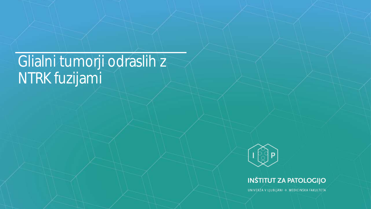#### Glialni tumorji odraslih z NTRK fuzijami



#### **INŠTITUT ZA PATOLOGIJO**

UNIVERZA V LJUBLJANI © MEDICINSKA FAKULTETA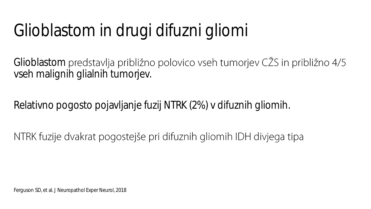# Glioblastom in drugi difuzni gliomi

Glioblastom predstavlja približno polovico vseh tumorjev CŽS in približno 4/5 vseh malignih glialnih tumorjev.

Relativno pogosto pojavljanje fuzij NTRK (2%) v difuznih gliomih.

NTRK fuzije dvakrat pogostejše pri difuznih gliomih IDH divjega tipa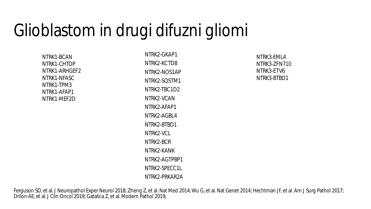### Glioblastom in drugi difuzni gliomi

NTRK1-BCAN NTRK1-CHTOP NTRK1-ARHGEF2 NTRK1-NFASC NTRK1-TPM3 NTRK1-AFAP1 NTRK1-MEF2D

NTRK2-GKAP1 NTRK2-KCTD8 NTRK2-NOS1AP NTRK2-SQSTM1 NTRK2-TBC1D2 NTRK2-VCAN NTRK2-AFAP1 NTRK2-AGBL4 NTRK2-BTBD1 NTRK2-VCL NTRK2-BCR NTRK2-KANK NTRK2-AGTPBP1 NTRK2-SPECC1L NTRK2-PRKAR2A

NTRK3-EML4 NTRK3-ZFN710 NTRK3-ETV6 NTRK3-BTBD1

Ferguson SD, et al. J Neuropathol Exper Neurol 2018; Zheng Z, et al. Nat Med 2014; Wu G, et al. Nat Genet 2014; Hechtman JF, et al. Am J Surg Pathol 2017; Drilon AE, et al. J Clin Oncol 2019; Gatalica Z, et al. Modern Pathol 2019;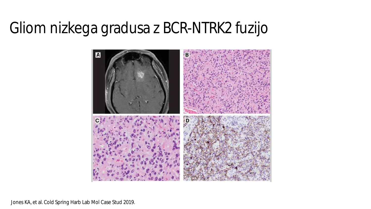### Gliom nizkega gradusa z BCR-NTRK2 fuzijo



Jones KA, et al. Cold Spring Harb Lab Mol Case Stud 2019.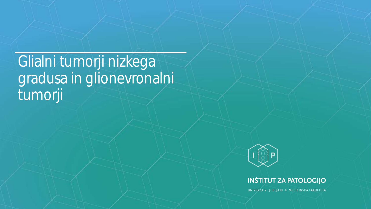Glialni tumorji nizkega gradusa in glionevronalni tumorji



#### **INŠTITUT ZA PATOLOGIJO**

UNIVERZA V LJUBLJANI © MEDICINSKA FAKULTETA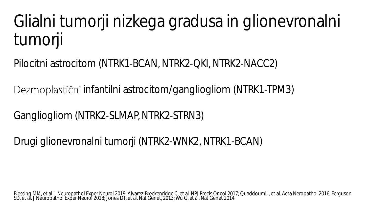# Glialni tumorji nizkega gradusa in glionevronalni tumorji

Pilocitni astrocitom (NTRK1-BCAN, NTRK2-QKI, NTRK2-NACC2)

Dezmoplastični infantilni astrocitom/gangliogliom (NTRK1-TPM3)

Gangliogliom (NTRK2-SLMAP, NTRK2-STRN3)

Drugi glionevronalni tumorji (NTRK2-WNK2, NTRK1-BCAN)

Blessing MM, et al. J Neuropathol Exper Neurol 2019; Alvarez-Breckenridge C, et al. NPJ Precis Oncol 2017; Quaddoumi I, et al. Acta Neropathol 2016; Ferguson SD, et al. J Neuropathol Exper Neurol 2018; Jones DT, et al. Nat Genet, 2013; Wu G, et al. Nat Genet 2014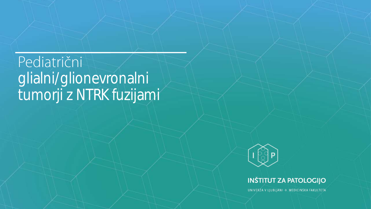### Pediatrični glialni/glionevronalni tumorji z NTRK fuzijami



#### **INŠTITUT ZA PATOLOGIJO**

UNIVERZA V LJUBLJANI © MEDICINSKA FAKULTETA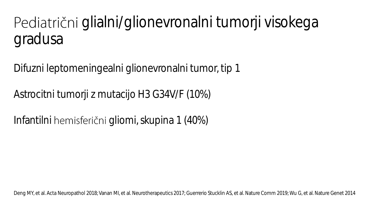Pediatrični glialni/glionevronalni tumorji visokega gradusa

Difuzni leptomeningealni glionevronalni tumor, tip 1

Astrocitni tumorji z mutacijo H3 G34V/F (10%)

Infantilni hemisferični gliomi, skupina 1 (40%)

Deng MY, et al. Acta Neuropathol 2018; Vanan MI, et al. Neurotherapeutics 2017; Guerrerio Stucklin AS, et al. Nature Comm 2019; Wu G, et al. Nature Genet 2014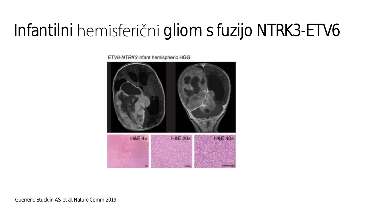# Infantilni hemisferični gliom s fuzijo NTRK3-ETV6

ETV6-NTRK3 infant hemispheric HGG



Guerrerio Stucklin AS, et al. Nature Comm 2019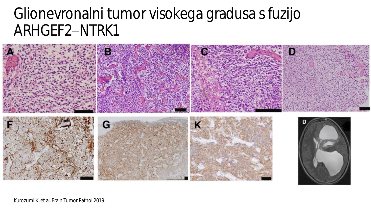### Glionevronalni tumor visokega gradusa s fuzijo ARHGEF2-NTRK1



Kurozumi K, et al. Brain Tumor Pathol 2019.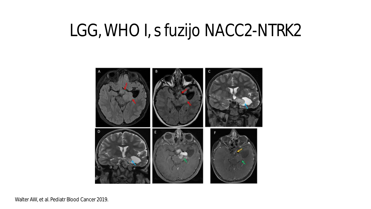## LGG, WHO I, s fuzijo NACC2-NTRK2



Walter AW, et al. Pediatr Blood Cancer 2019.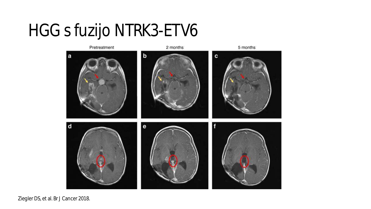# HGG s fuzijo NTRK3-ETV6



Ziegler DS, et al. Br J Cancer 2018.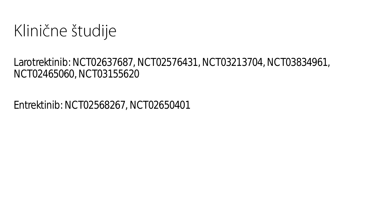Klinične študije

Larotrektinib: NCT02637687, NCT02576431, NCT03213704, NCT03834961, NCT02465060, NCT03155620

Entrektinib: NCT02568267, NCT02650401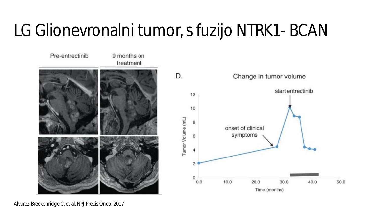# LG Glionevronalni tumor, s fuzijo NTRK1- BCAN



Alvarez-Breckenridge C, et al. NPJ Precis Oncol 2017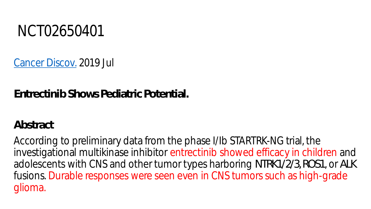

[Cancer Discov.](https://www.ncbi.nlm.nih.gov/pubmed/31113803) 2019 Jul

**Entrectinib Shows Pediatric Potential.**

**Abstract**

According to preliminary data from the phase I/Ib STARTRK-NG trial, the investigational multikinase inhibitor entrectinib showed efficacy in children and adolescents with CNS and other tumor types harboring *NTRK1/2/3, ROS1*, or *ALK* fusions. Durable responses were seen even in CNS tumors such as high-grade glioma.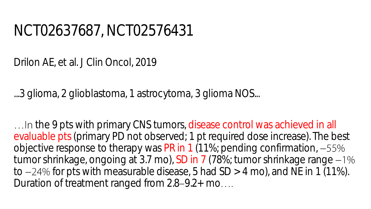#### NCT02637687, NCT02576431

Drilon AE, et al. J Clin Oncol, 2019

...3 glioma, 2 glioblastoma, 1 astrocytoma, 3 glioma NOS...

... In the 9 pts with primary CNS tumors, disease control was achieved in all evaluable pts (primary PD not observed; 1 pt required dose increase). The best objective response to therapy was PR in 1 (11%; pending confirmation,  $-55%$ tumor shrinkage, ongoing at 3.7 mo), SD in 7 (78%; tumor shrinkage range -1% to  $-24\%$  for pts with measurable disease, 5 had SD  $>$  4 mo), and NE in 1 (11%). Duration of treatment ranged from  $2.8-9.2+$  mo....